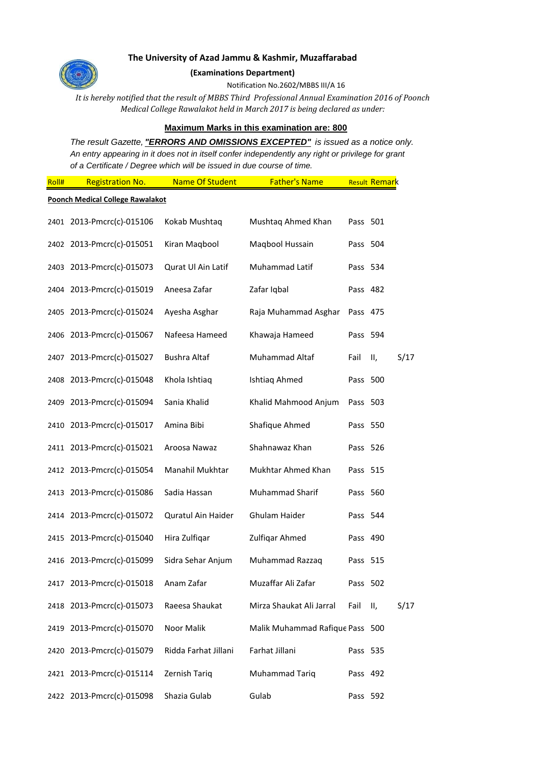

## **The University of Azad Jammu & Kashmir, Muzaffarabad**

**(Examinations Department)**

Notification No.2602/MBBS III/A 16

*It is hereby notified that the result of MBBS Third Professional Annual Examination 2016 of Poonch Medical College Rawalakot held in March 2017 is being declared as under:*

## **Maximum Marks in this examination are: 800**

*The result Gazette, "ERRORS AND OMISSIONS EXCEPTED" is issued as a notice only. An entry appearing in it does not in itself confer independently any right or privilege for grant of a Certificate / Degree which will be issued in due course of time.* 

| Roll# | <b>Registration No.</b>                 | Name Of Student      | <b>Father's Name</b>            |          | Result Remark |      |
|-------|-----------------------------------------|----------------------|---------------------------------|----------|---------------|------|
|       | <b>Poonch Medical College Rawalakot</b> |                      |                                 |          |               |      |
|       | 2401 2013-Pmcrc(c)-015106               | Kokab Mushtaq        | Mushtaq Ahmed Khan              | Pass 501 |               |      |
|       | 2402 2013-Pmcrc(c)-015051               | Kiran Maqbool        | Magbool Hussain                 | Pass 504 |               |      |
|       | 2403 2013-Pmcrc(c)-015073               | Qurat Ul Ain Latif   | Muhammad Latif                  | Pass 534 |               |      |
|       | 2404 2013-Pmcrc(c)-015019               | Aneesa Zafar         | Zafar Iqbal                     | Pass 482 |               |      |
|       | 2405 2013-Pmcrc(c)-015024               | Ayesha Asghar        | Raja Muhammad Asghar            | Pass 475 |               |      |
|       | 2406 2013-Pmcrc(c)-015067               | Nafeesa Hameed       | Khawaja Hameed                  | Pass 594 |               |      |
|       | 2407 2013-Pmcrc(c)-015027               | <b>Bushra Altaf</b>  | Muhammad Altaf                  | Fail     | Ш,            | S/17 |
|       | 2408 2013-Pmcrc(c)-015048               | Khola Ishtiaq        | Ishtiaq Ahmed                   | Pass 500 |               |      |
| 2409  | 2013-Pmcrc(c)-015094                    | Sania Khalid         | Khalid Mahmood Anjum            | Pass 503 |               |      |
|       | 2410 2013-Pmcrc(c)-015017               | Amina Bibi           | Shafique Ahmed                  | Pass 550 |               |      |
|       | 2411 2013-Pmcrc(c)-015021               | Aroosa Nawaz         | Shahnawaz Khan                  | Pass 526 |               |      |
|       | 2412 2013-Pmcrc(c)-015054               | Manahil Mukhtar      | Mukhtar Ahmed Khan              | Pass 515 |               |      |
|       | 2413 2013-Pmcrc(c)-015086               | Sadia Hassan         | Muhammad Sharif                 | Pass 560 |               |      |
|       | 2414 2013-Pmcrc(c)-015072               | Quratul Ain Haider   | Ghulam Haider                   | Pass 544 |               |      |
|       | 2415 2013-Pmcrc(c)-015040               | Hira Zulfiqar        | Zulfiqar Ahmed                  | Pass 490 |               |      |
|       | 2416 2013-Pmcrc(c)-015099               | Sidra Sehar Anjum    | Muhammad Razzaq                 | Pass 515 |               |      |
|       | 2417 2013-Pmcrc(c)-015018               | Anam Zafar           | Muzaffar Ali Zafar              | Pass 502 |               |      |
|       | 2418 2013-Pmcrc(c)-015073               | Raeesa Shaukat       | Mirza Shaukat Ali Jarral        | Fail     | Ш,            | S/17 |
|       | 2419 2013-Pmcrc(c)-015070               | Noor Malik           | Malik Muhammad Rafique Pass 500 |          |               |      |
|       | 2420 2013-Pmcrc(c)-015079               | Ridda Farhat Jillani | Farhat Jillani                  | Pass 535 |               |      |
|       | 2421 2013-Pmcrc(c)-015114               | Zernish Tariq        | Muhammad Tariq                  | Pass 492 |               |      |
|       | 2422 2013-Pmcrc(c)-015098               | Shazia Gulab         | Gulab                           | Pass 592 |               |      |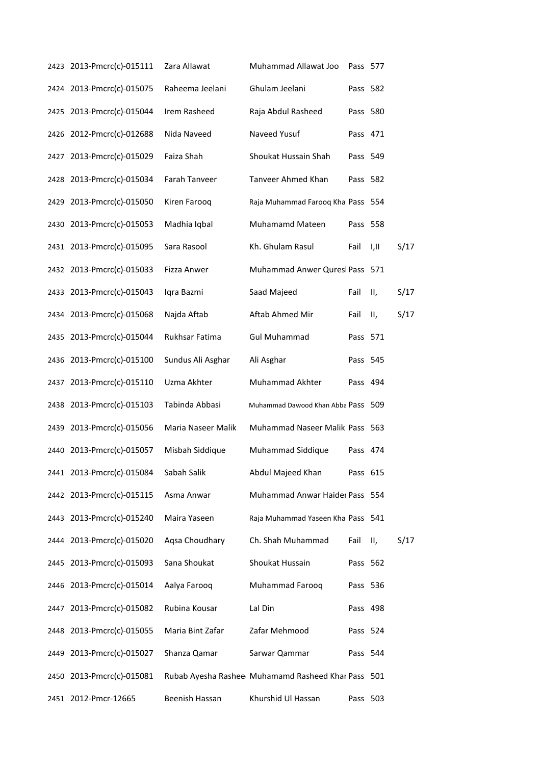|      | 2423 2013-Pmcrc(c)-015111 | Zara Allawat       | Muhammad Allawat Joo                               | Pass 577 |      |      |
|------|---------------------------|--------------------|----------------------------------------------------|----------|------|------|
|      | 2424 2013-Pmcrc(c)-015075 | Raheema Jeelani    | Ghulam Jeelani                                     | Pass 582 |      |      |
|      | 2425 2013-Pmcrc(c)-015044 | Irem Rasheed       | Raja Abdul Rasheed                                 | Pass 580 |      |      |
|      | 2426 2012-Pmcrc(c)-012688 | Nida Naveed        | Naveed Yusuf                                       | Pass 471 |      |      |
| 2427 | 2013-Pmcrc(c)-015029      | Faiza Shah         | Shoukat Hussain Shah                               | Pass 549 |      |      |
|      | 2428 2013-Pmcrc(c)-015034 | Farah Tanveer      | Tanveer Ahmed Khan                                 | Pass 582 |      |      |
|      | 2429 2013-Pmcrc(c)-015050 | Kiren Farooq       | Raja Muhammad Farooq Kha Pass 554                  |          |      |      |
|      | 2430 2013-Pmcrc(c)-015053 | Madhia Iqbal       | Muhamamd Mateen                                    | Pass 558 |      |      |
|      | 2431 2013-Pmcrc(c)-015095 | Sara Rasool        | Kh. Ghulam Rasul                                   | Fail     | I,II | S/17 |
|      | 2432 2013-Pmcrc(c)-015033 | Fizza Anwer        | Muhammad Anwer Quresl Pass 571                     |          |      |      |
|      | 2433 2013-Pmcrc(c)-015043 | Iqra Bazmi         | Saad Majeed                                        | Fail     | П,   | S/17 |
|      | 2434 2013-Pmcrc(c)-015068 | Najda Aftab        | Aftab Ahmed Mir                                    | Fail     | Ш,   | S/17 |
|      | 2435 2013-Pmcrc(c)-015044 | Rukhsar Fatima     | <b>Gul Muhammad</b>                                | Pass 571 |      |      |
|      | 2436 2013-Pmcrc(c)-015100 | Sundus Ali Asghar  | Ali Asghar                                         | Pass 545 |      |      |
|      | 2437 2013-Pmcrc(c)-015110 | Uzma Akhter        | Muhammad Akhter                                    | Pass 494 |      |      |
|      | 2438 2013-Pmcrc(c)-015103 | Tabinda Abbasi     | Muhammad Dawood Khan Abba Pass 509                 |          |      |      |
|      | 2439 2013-Pmcrc(c)-015056 | Maria Naseer Malik | Muhammad Naseer Malik Pass 563                     |          |      |      |
|      | 2440 2013-Pmcrc(c)-015057 | Misbah Siddique    | Muhammad Siddique                                  | Pass 474 |      |      |
|      | 2441 2013-Pmcrc(c)-015084 | Sabah Salik        | Abdul Majeed Khan                                  | Pass 615 |      |      |
|      | 2442 2013-Pmcrc(c)-015115 | Asma Anwar         | Muhammad Anwar Haider Pass 554                     |          |      |      |
|      | 2443 2013-Pmcrc(c)-015240 | Maira Yaseen       | Raja Muhammad Yaseen Kha Pass 541                  |          |      |      |
|      | 2444 2013-Pmcrc(c)-015020 | Agsa Choudhary     | Ch. Shah Muhammad                                  | Fail     | Ш,   | S/17 |
|      | 2445 2013-Pmcrc(c)-015093 | Sana Shoukat       | Shoukat Hussain                                    | Pass 562 |      |      |
|      | 2446 2013-Pmcrc(c)-015014 | Aalya Farooq       | Muhammad Farooq                                    | Pass 536 |      |      |
|      | 2447 2013-Pmcrc(c)-015082 | Rubina Kousar      | Lal Din                                            | Pass 498 |      |      |
|      | 2448 2013-Pmcrc(c)-015055 | Maria Bint Zafar   | Zafar Mehmood                                      | Pass 524 |      |      |
|      | 2449 2013-Pmcrc(c)-015027 | Shanza Qamar       | Sarwar Qammar                                      | Pass 544 |      |      |
|      | 2450 2013-Pmcrc(c)-015081 |                    | Rubab Ayesha Rashee Muhamamd Rasheed Khar Pass 501 |          |      |      |
|      | 2451 2012-Pmcr-12665      | Beenish Hassan     | Khurshid Ul Hassan                                 | Pass 503 |      |      |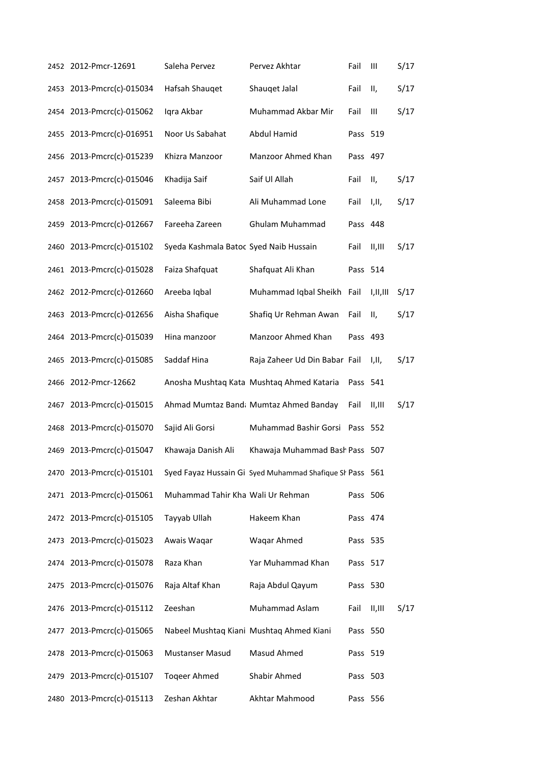|      | 2452 2012-Pmcr-12691      | Saleha Pervez                          | Pervez Akhtar                                            | Fail     | Ш        | S/17 |
|------|---------------------------|----------------------------------------|----------------------------------------------------------|----------|----------|------|
|      | 2453 2013-Pmcrc(c)-015034 | Hafsah Shauqet                         | Shauqet Jalal                                            | Fail     | Ш,       | S/17 |
|      | 2454 2013-Pmcrc(c)-015062 | Iqra Akbar                             | Muhammad Akbar Mir                                       | Fail     | Ш        | S/17 |
|      | 2455 2013-Pmcrc(c)-016951 | Noor Us Sabahat                        | Abdul Hamid                                              | Pass 519 |          |      |
|      | 2456 2013-Pmcrc(c)-015239 | Khizra Manzoor                         | Manzoor Ahmed Khan                                       | Pass 497 |          |      |
|      | 2457 2013-Pmcrc(c)-015046 | Khadija Saif                           | Saif Ul Allah                                            | Fail     | Ш,       | S/17 |
|      | 2458 2013-Pmcrc(c)-015091 | Saleema Bibi                           | Ali Muhammad Lone                                        | Fail     | I,II,    | S/17 |
|      | 2459 2013-Pmcrc(c)-012667 | Fareeha Zareen                         | <b>Ghulam Muhammad</b>                                   | Pass 448 |          |      |
|      | 2460 2013-Pmcrc(c)-015102 | Syeda Kashmala Batoc Syed Naib Hussain |                                                          | Fail     | II, III  | S/17 |
|      | 2461 2013-Pmcrc(c)-015028 | Faiza Shafquat                         | Shafquat Ali Khan                                        | Pass 514 |          |      |
|      | 2462 2012-Pmcrc(c)-012660 | Areeba Iqbal                           | Muhammad Iqbal Sheikh Fail                               |          | I,II,III | S/17 |
|      | 2463 2013-Pmcrc(c)-012656 | Aisha Shafique                         | Shafiq Ur Rehman Awan                                    | Fail     | П,       | S/17 |
|      | 2464 2013-Pmcrc(c)-015039 | Hina manzoor                           | Manzoor Ahmed Khan                                       | Pass 493 |          |      |
|      | 2465 2013-Pmcrc(c)-015085 | Saddaf Hina                            | Raja Zaheer Ud Din Babar Fail                            |          | I,II,    | S/17 |
|      | 2466 2012-Pmcr-12662      |                                        | Anosha Mushtaq Kata Mushtaq Ahmed Kataria                | Pass 541 |          |      |
| 2467 | 2013-Pmcrc(c)-015015      |                                        | Ahmad Mumtaz Band: Mumtaz Ahmed Banday                   | Fail     | II, III  | S/17 |
|      | 2468 2013-Pmcrc(c)-015070 | Sajid Ali Gorsi                        | Muhammad Bashir Gorsi Pass 552                           |          |          |      |
|      | 2469 2013-Pmcrc(c)-015047 | Khawaja Danish Ali                     | Khawaja Muhammad Bash Pass 507                           |          |          |      |
|      | 2470 2013-Pmcrc(c)-015101 |                                        | Syed Fayaz Hussain Gi Syed Muhammad Shafique SI Pass 561 |          |          |      |
|      | 2471 2013-Pmcrc(c)-015061 | Muhammad Tahir Kha Wali Ur Rehman      |                                                          | Pass 506 |          |      |
|      | 2472 2013-Pmcrc(c)-015105 | Tayyab Ullah                           | Hakeem Khan                                              | Pass 474 |          |      |
|      | 2473 2013-Pmcrc(c)-015023 | Awais Waqar                            | Waqar Ahmed                                              | Pass 535 |          |      |
|      | 2474 2013-Pmcrc(c)-015078 | Raza Khan                              | Yar Muhammad Khan                                        | Pass 517 |          |      |
|      | 2475 2013-Pmcrc(c)-015076 | Raja Altaf Khan                        | Raja Abdul Qayum                                         | Pass 530 |          |      |
|      | 2476 2013-Pmcrc(c)-015112 | Zeeshan                                | Muhammad Aslam                                           | Fail     | II, III  | S/17 |
|      | 2477 2013-Pmcrc(c)-015065 |                                        | Nabeel Mushtaq Kiani Mushtaq Ahmed Kiani                 | Pass 550 |          |      |
|      | 2478 2013-Pmcrc(c)-015063 | <b>Mustanser Masud</b>                 | Masud Ahmed                                              | Pass 519 |          |      |
|      | 2479 2013-Pmcrc(c)-015107 | <b>Togeer Ahmed</b>                    | Shabir Ahmed                                             | Pass 503 |          |      |
|      | 2480 2013-Pmcrc(c)-015113 | Zeshan Akhtar                          | Akhtar Mahmood                                           | Pass 556 |          |      |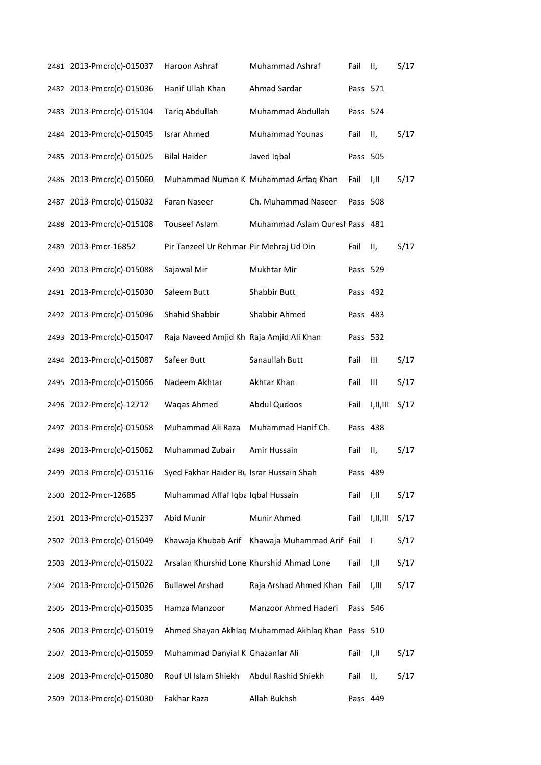| 2481 2013-Pmcrc(c)-015037 | Haroon Ashraf                            | Muhammad Ashraf                                   | Fail     | Ш,       | S/17 |
|---------------------------|------------------------------------------|---------------------------------------------------|----------|----------|------|
| 2482 2013-Pmcrc(c)-015036 | Hanif Ullah Khan                         | Ahmad Sardar                                      | Pass 571 |          |      |
| 2483 2013-Pmcrc(c)-015104 | <b>Tariq Abdullah</b>                    | Muhammad Abdullah                                 | Pass 524 |          |      |
| 2484 2013-Pmcrc(c)-015045 | <b>Israr Ahmed</b>                       | <b>Muhammad Younas</b>                            | Fail     | Ш,       | S/17 |
| 2485 2013-Pmcrc(c)-015025 | <b>Bilal Haider</b>                      | Javed Iqbal                                       | Pass 505 |          |      |
| 2486 2013-Pmcrc(c)-015060 |                                          | Muhammad Numan K Muhammad Arfaq Khan              | Fail     | I,II     | S/17 |
| 2487 2013-Pmcrc(c)-015032 | Faran Naseer                             | Ch. Muhammad Naseer                               | Pass 508 |          |      |
| 2488 2013-Pmcrc(c)-015108 | <b>Touseef Aslam</b>                     | Muhammad Aslam Quresh Pass 481                    |          |          |      |
| 2489 2013-Pmcr-16852      | Pir Tanzeel Ur Rehmar Pir Mehraj Ud Din  |                                                   | Fail     | Ш,       | S/17 |
| 2490 2013-Pmcrc(c)-015088 | Sajawal Mir                              | Mukhtar Mir                                       | Pass 529 |          |      |
| 2491 2013-Pmcrc(c)-015030 | Saleem Butt                              | Shabbir Butt                                      | Pass 492 |          |      |
| 2492 2013-Pmcrc(c)-015096 | Shahid Shabbir                           | Shabbir Ahmed                                     | Pass 483 |          |      |
| 2493 2013-Pmcrc(c)-015047 | Raja Naveed Amjid Kh Raja Amjid Ali Khan |                                                   | Pass 532 |          |      |
| 2494 2013-Pmcrc(c)-015087 | Safeer Butt                              | Sanaullah Butt                                    | Fail     | Ш        | S/17 |
| 2495 2013-Pmcrc(c)-015066 | Nadeem Akhtar                            | Akhtar Khan                                       | Fail     | Ш        | S/17 |
| 2496 2012-Pmcrc(c)-12712  | Waqas Ahmed                              | <b>Abdul Qudoos</b>                               | Fail     | I,II,III | S/17 |
| 2497 2013-Pmcrc(c)-015058 | Muhammad Ali Raza                        | Muhammad Hanif Ch.                                | Pass 438 |          |      |
| 2498 2013-Pmcrc(c)-015062 | Muhammad Zubair                          | Amir Hussain                                      | Fail     | Ш,       | S/17 |
| 2499 2013-Pmcrc(c)-015116 | Syed Fakhar Haider Bt Israr Hussain Shah |                                                   | Pass 489 |          |      |
| 2500 2012-Pmcr-12685      | Muhammad Affaf Iqba Iqbal Hussain        |                                                   | Fail     | I,II     | S/17 |
| 2501 2013-Pmcrc(c)-015237 | Abid Munir                               | Munir Ahmed                                       | Fail     | I,II,III | S/17 |
| 2502 2013-Pmcrc(c)-015049 | Khawaja Khubab Arif                      | Khawaja Muhammad Arif Fail                        |          | I        | S/17 |
| 2503 2013-Pmcrc(c)-015022 |                                          | Arsalan Khurshid Lone Khurshid Ahmad Lone         | Fail     | I,II     | S/17 |
| 2504 2013-Pmcrc(c)-015026 | <b>Bullawel Arshad</b>                   | Raja Arshad Ahmed Khan Fail                       |          | I,III    | S/17 |
| 2505 2013-Pmcrc(c)-015035 | Hamza Manzoor                            | Manzoor Ahmed Haderi                              | Pass 546 |          |      |
| 2506 2013-Pmcrc(c)-015019 |                                          | Ahmed Shayan Akhlaq Muhammad Akhlaq Khan Pass 510 |          |          |      |
| 2507 2013-Pmcrc(c)-015059 | Muhammad Danyial K Ghazanfar Ali         |                                                   | Fail     | I,II     | S/17 |
| 2508 2013-Pmcrc(c)-015080 | Rouf Ul Islam Shiekh                     | Abdul Rashid Shiekh                               | Fail     | П,       | S/17 |
| 2509 2013-Pmcrc(c)-015030 | Fakhar Raza                              | Allah Bukhsh                                      | Pass 449 |          |      |